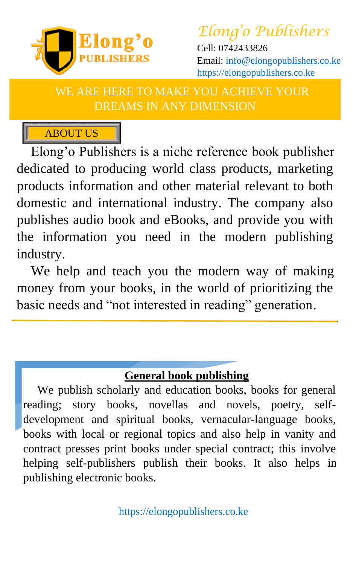

*Elong'o Publishers* Cell: 0742433826 Email: [info@elongopublishers.co.ke](mailto:info@elongopublishers.co.ke) https://elongopublishers.co.ke

WE ARE HERE TO MAKE YOU ACHIEVE YOUR DREAMS IN ANY DIMENSION

## **ABOUT US**

Elong'o Publishers is a niche reference book publisher dedicated to producing world class products, marketing products information and other material relevant to both domestic and international industry. The company also publishes audio book and eBooks, and provide you with the information you need in the modern publishing industry.

We help and teach you the modern way of making money from your books, in the world of prioritizing the basic needs and "not interested in reading" generation.

#### **General book publishing**

We publish scholarly and education books, books for general reading; story books, novellas and novels, poetry, selfdevelopment and spiritual books, vernacular-language books, books with local or regional topics and also help in vanity and contract presses print books under special contract; this involve helping self-publishers publish their books. It also helps in publishing electronic books.

https://elongopublishers.co.ke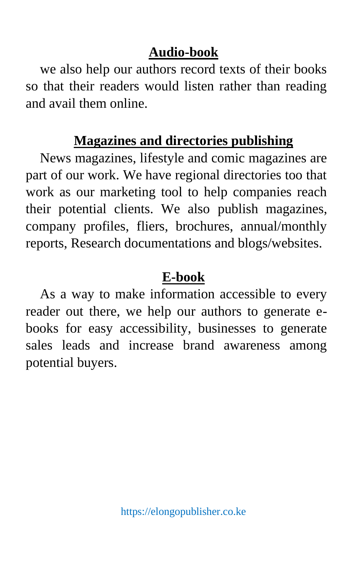## **Audio-book**

we also help our authors record texts of their books so that their readers would listen rather than reading and avail them online.

## **Magazines and directories publishing**

News magazines, lifestyle and comic magazines are part of our work. We have regional directories too that work as our marketing tool to help companies reach their potential clients. We also publish magazines, company profiles, fliers, brochures, annual/monthly reports, Research documentations and blogs/websites.

### **E-book**

As a way to make information accessible to every reader out there, we help our authors to generate ebooks for easy accessibility, businesses to generate sales leads and increase brand awareness among potential buyers.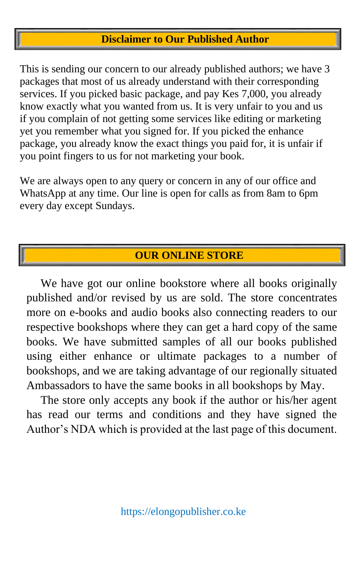#### **Disclaimer to Our Published Author**

This is sending our concern to our already published authors; we have 3 packages that most of us already understand with their corresponding services. If you picked basic package, and pay Kes 7,000, you already know exactly what you wanted from us. It is very unfair to you and us if you complain of not getting some services like editing or marketing yet you remember what you signed for. If you picked the enhance package, you already know the exact things you paid for, it is unfair if you point fingers to us for not marketing your book.

We are always open to any query or concern in any of our office and WhatsApp at any time. Our line is open for calls as from 8am to 6pm every day except Sundays.

#### **OUR ONLINE STORE**

We have got our online bookstore where all books originally published and/or revised by us are sold. The store concentrates more on e-books and audio books also connecting readers to our respective bookshops where they can get a hard copy of the same books. We have submitted samples of all our books published using either enhance or ultimate packages to a number of bookshops, and we are taking advantage of our regionally situated Ambassadors to have the same books in all bookshops by May.

The store only accepts any book if the author or his/her agent has read our terms and conditions and they have signed the Author's NDA which is provided at the last page of this document.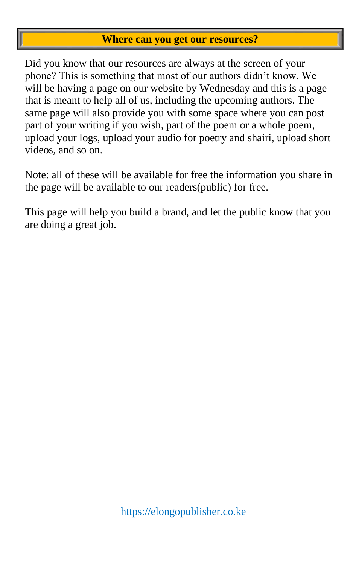#### **Where can you get our resources?**

Did you know that our resources are always at the screen of your phone? This is something that most of our authors didn't know. We will be having a page on our website by Wednesday and this is a page that is meant to help all of us, including the upcoming authors. The same page will also provide you with some space where you can post part of your writing if you wish, part of the poem or a whole poem, upload your logs, upload your audio for poetry and shairi, upload short videos, and so on.

Note: all of these will be available for free the information you share in the page will be available to our readers(public) for free.

This page will help you build a brand, and let the public know that you are doing a great job.